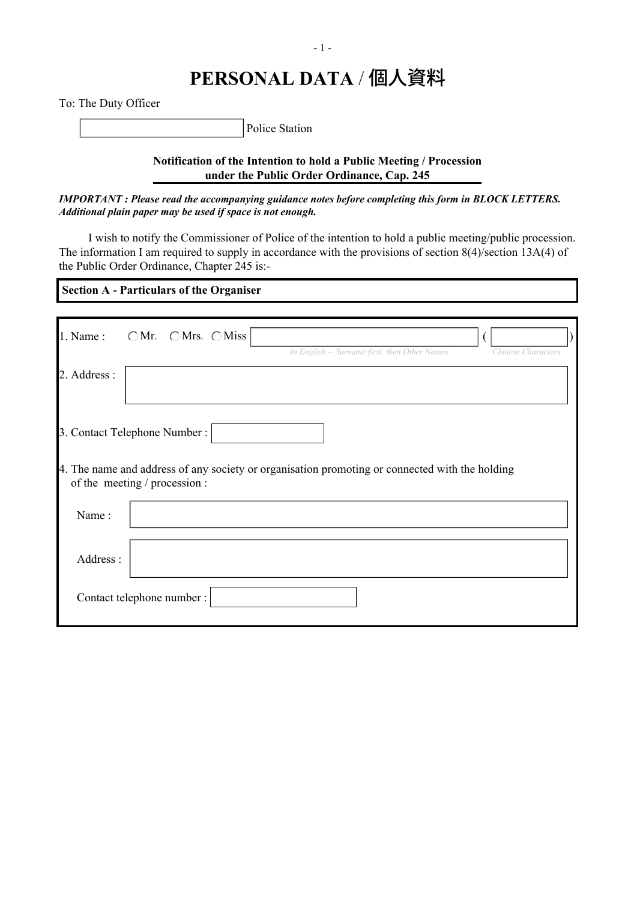To: The Duty Officer

Police Station

**Notification of the Intention to hold a Public Meeting / Procession under the Public Order Ordinance, Cap. 245**

*IMPORTANT : Please read the accompanying guidance notes before completing this form in BLOCK LETTERS. Additional plain paper may be used if space is not enough.*

 I wish to notify the Commissioner of Police of the intention to hold a public meeting/public procession. The information I am required to supply in accordance with the provisions of section 8(4)/section 13A(4) of the Public Order Ordinance, Chapter 245 is:-

 **Section A - Particulars of the Organiser**

| 1. Name:                      | $\bigcirc$ Mr. $\bigcirc$ Mrs. $\bigcirc$ Miss |                                                                                                |                    |  |
|-------------------------------|------------------------------------------------|------------------------------------------------------------------------------------------------|--------------------|--|
|                               |                                                | In English -- Surname first, then Other Names                                                  | Chinese Characters |  |
| 2. Address :                  |                                                |                                                                                                |                    |  |
|                               |                                                |                                                                                                |                    |  |
| 3. Contact Telephone Number : |                                                |                                                                                                |                    |  |
| of the meeting / procession : |                                                | 4. The name and address of any society or organisation promoting or connected with the holding |                    |  |
| Name:                         |                                                |                                                                                                |                    |  |
| Address:                      |                                                |                                                                                                |                    |  |
| Contact telephone number :    |                                                |                                                                                                |                    |  |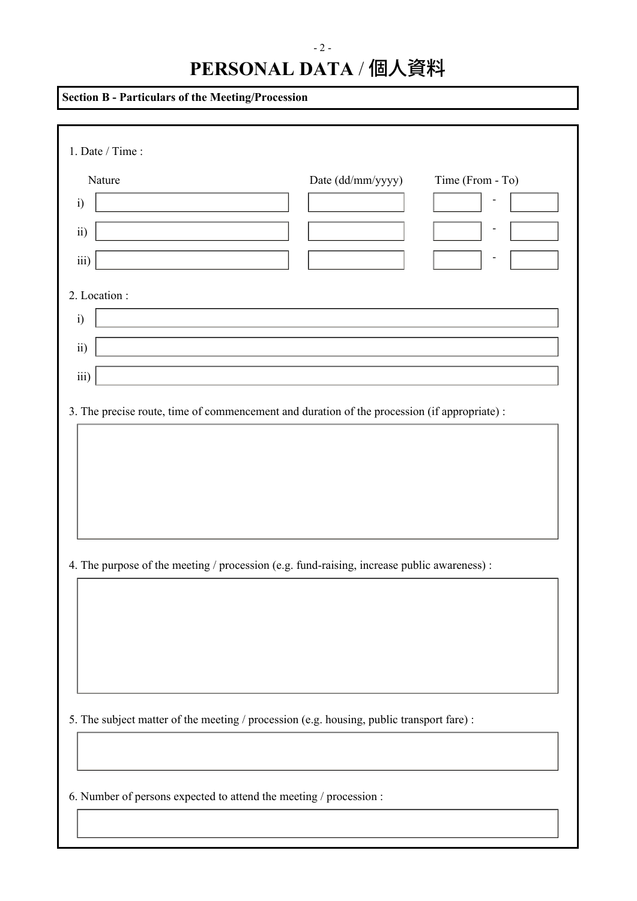| <b>Section B - Particulars of the Meeting/Procession</b>                                     |  |  |  |  |  |
|----------------------------------------------------------------------------------------------|--|--|--|--|--|
| 1. Date / Time:                                                                              |  |  |  |  |  |
| Date (dd/mm/yyyy)<br>Time (From - To)<br>Nature<br>$\ddot{i}$<br>ii)<br>iii)                 |  |  |  |  |  |
| 2. Location :<br>$\ddot{i}$<br>ii)<br>iii)                                                   |  |  |  |  |  |
| 3. The precise route, time of commencement and duration of the procession (if appropriate) : |  |  |  |  |  |
| 4. The purpose of the meeting / procession (e.g. fund-raising, increase public awareness) :  |  |  |  |  |  |
| 5. The subject matter of the meeting / procession (e.g. housing, public transport fare) :    |  |  |  |  |  |
| 6. Number of persons expected to attend the meeting / procession :                           |  |  |  |  |  |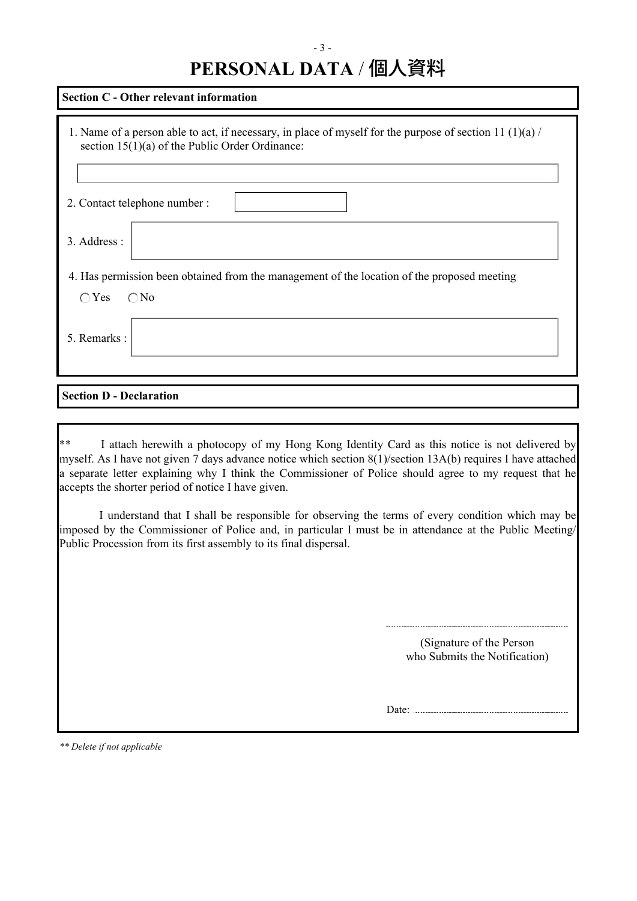| Section C - Other relevant information                                                                                                                        |  |  |  |  |  |
|---------------------------------------------------------------------------------------------------------------------------------------------------------------|--|--|--|--|--|
| 1. Name of a person able to act, if necessary, in place of myself for the purpose of section 11 (1)(a) /<br>section $15(1)(a)$ of the Public Order Ordinance: |  |  |  |  |  |
| 2. Contact telephone number :                                                                                                                                 |  |  |  |  |  |
| 3. Address :                                                                                                                                                  |  |  |  |  |  |
| 4. Has permission been obtained from the management of the location of the proposed meeting                                                                   |  |  |  |  |  |
| $\bigcirc$ No<br>$\bigcirc$ Yes                                                                                                                               |  |  |  |  |  |
| 5. Remarks:                                                                                                                                                   |  |  |  |  |  |

## **Section D - Declaration**

\*\* I attach herewith a photocopy of my Hong Kong Identity Card as this notice is not delivered by myself. As I have not given 7 days advance notice which section 8(1)/section 13A(b) requires I have attached a separate letter explaining why I think the Commissioner of Police should agree to my request that he accepts the shorter period of notice I have given.

I understand that I shall be responsible for observing the terms of every condition which may be imposed by the Commissioner of Police and, in particular I must be in attendance at the Public Meeting/ Public Procession from its first assembly to its final dispersal.

> (Signature of the Person who Submits the Notification)

Date: .......

*\*\* Delete if not applicable*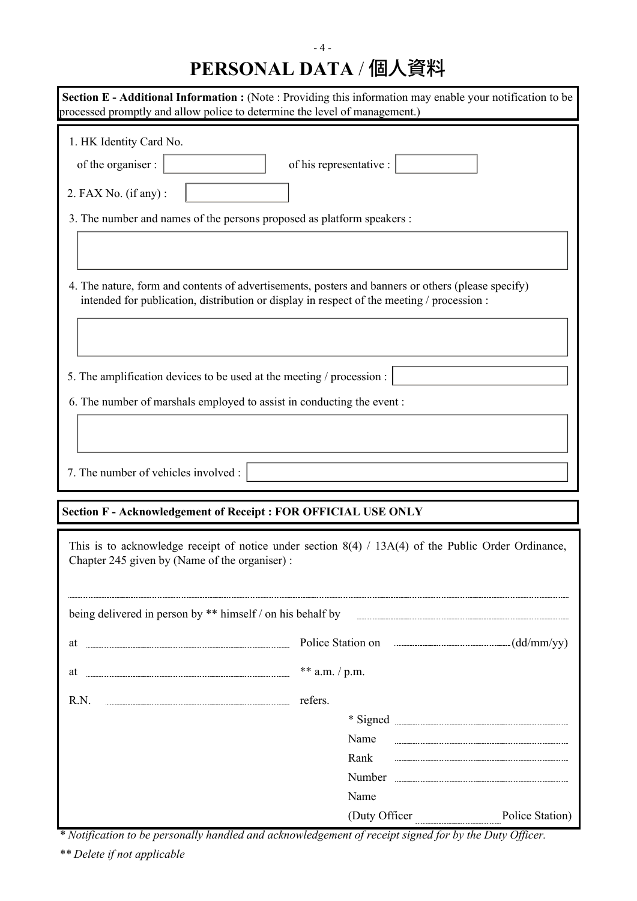| processed promptly and allow police to determine the level of management.)                                                                      | <b>Section E - Additional Information :</b> (Note: Providing this information may enable your notification to be                                                                                                                          |  |  |  |  |
|-------------------------------------------------------------------------------------------------------------------------------------------------|-------------------------------------------------------------------------------------------------------------------------------------------------------------------------------------------------------------------------------------------|--|--|--|--|
| 1. HK Identity Card No.<br>of the organiser :<br>2. FAX No. (if any):<br>3. The number and names of the persons proposed as platform speakers : | of his representative :                                                                                                                                                                                                                   |  |  |  |  |
| intended for publication, distribution or display in respect of the meeting / procession :                                                      | 4. The nature, form and contents of advertisements, posters and banners or others (please specify)                                                                                                                                        |  |  |  |  |
| 5. The amplification devices to be used at the meeting / procession :<br>6. The number of marshals employed to assist in conducting the event : |                                                                                                                                                                                                                                           |  |  |  |  |
| 7. The number of vehicles involved :<br><b>Section F-Acknowledgement of Receipt : FOR OFFICIAL USE ONLY</b>                                     |                                                                                                                                                                                                                                           |  |  |  |  |
| Chapter 245 given by (Name of the organiser) :                                                                                                  | This is to acknowledge receipt of notice under section $8(4)$ / $13A(4)$ of the Public Order Ordinance,                                                                                                                                   |  |  |  |  |
| being delivered in person by ** himself / on his behalf by                                                                                      |                                                                                                                                                                                                                                           |  |  |  |  |
| at                                                                                                                                              | Police Station on <i>manual manual manual</i> (dd/mm/yy)                                                                                                                                                                                  |  |  |  |  |
| at                                                                                                                                              | ** a.m. $/$ p.m.                                                                                                                                                                                                                          |  |  |  |  |
| R.N.                                                                                                                                            | refers.                                                                                                                                                                                                                                   |  |  |  |  |
|                                                                                                                                                 | * Signed <b>Manual</b> Signed <b>William Strategie and Strategie and Strategie and Strategie and Strategie and Strategie and Strategie and Strategie and Strategie and Strategie and Strategie and Strategie and Strategie and Strate</b> |  |  |  |  |
|                                                                                                                                                 |                                                                                                                                                                                                                                           |  |  |  |  |
|                                                                                                                                                 | Name<br>Rank                                                                                                                                                                                                                              |  |  |  |  |
|                                                                                                                                                 |                                                                                                                                                                                                                                           |  |  |  |  |
|                                                                                                                                                 | Name<br>(Duty Officer<br>Police Station)                                                                                                                                                                                                  |  |  |  |  |

*\* Notification to be personally handled and acknowledgement of receipt signed for by the Duty Officer.*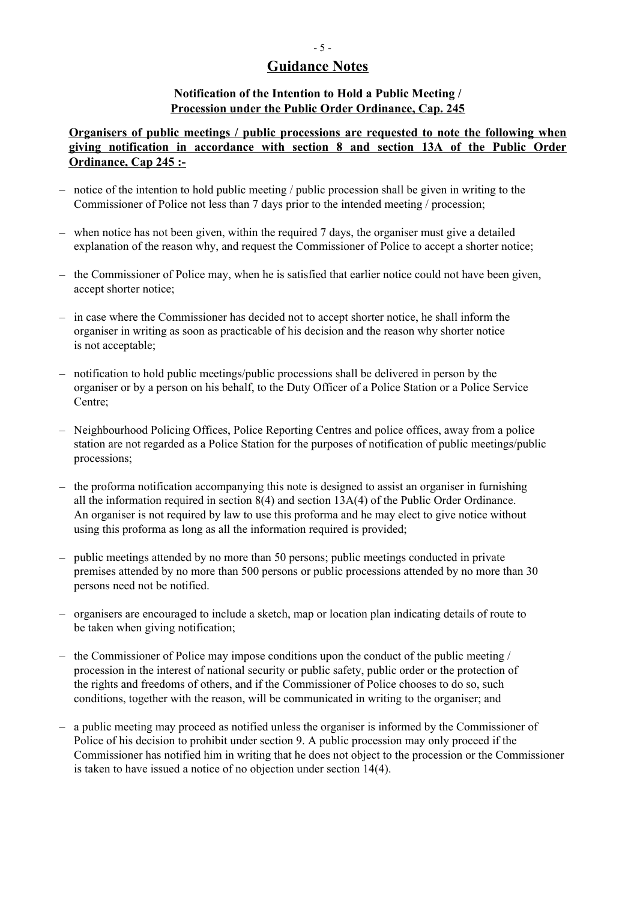## **Guidance Notes**

### **Notification of the Intention to Hold a Public Meeting / Procession under the Public Order Ordinance, Cap. 245**

### **Organisers of public meetings / public processions are requested to note the following when giving notification in accordance with section 8 and section 13A of the Public Order Ordinance, Cap 245 :-**

- notice of the intention to hold public meeting / public procession shall be given in writing to the Commissioner of Police not less than 7 days prior to the intended meeting / procession;
- when notice has not been given, within the required 7 days, the organiser must give a detailed explanation of the reason why, and request the Commissioner of Police to accept a shorter notice;
- the Commissioner of Police may, when he is satisfied that earlier notice could not have been given, accept shorter notice;
- in case where the Commissioner has decided not to accept shorter notice, he shall inform the organiser in writing as soon as practicable of his decision and the reason why shorter notice is not acceptable;
- notification to hold public meetings/public processions shall be delivered in person by the organiser or by a person on his behalf, to the Duty Officer of a Police Station or a Police Service Centre;
- Neighbourhood Policing Offices, Police Reporting Centres and police offices, away from a police station are not regarded as a Police Station for the purposes of notification of public meetings/public processions;
- the proforma notification accompanying this note is designed to assist an organiser in furnishing all the information required in section 8(4) and section 13A(4) of the Public Order Ordinance. An organiser is not required by law to use this proforma and he may elect to give notice without using this proforma as long as all the information required is provided;
- public meetings attended by no more than 50 persons; public meetings conducted in private premises attended by no more than 500 persons or public processions attended by no more than 30 persons need not be notified.
- organisers are encouraged to include a sketch, map or location plan indicating details of route to be taken when giving notification;
- the Commissioner of Police may impose conditions upon the conduct of the public meeting / procession in the interest of national security or public safety, public order or the protection of the rights and freedoms of others, and if the Commissioner of Police chooses to do so, such conditions, together with the reason, will be communicated in writing to the organiser; and
- a public meeting may proceed as notified unless the organiser is informed by the Commissioner of Police of his decision to prohibit under section 9. A public procession may only proceed if the Commissioner has notified him in writing that he does not object to the procession or the Commissioner is taken to have issued a notice of no objection under section 14(4).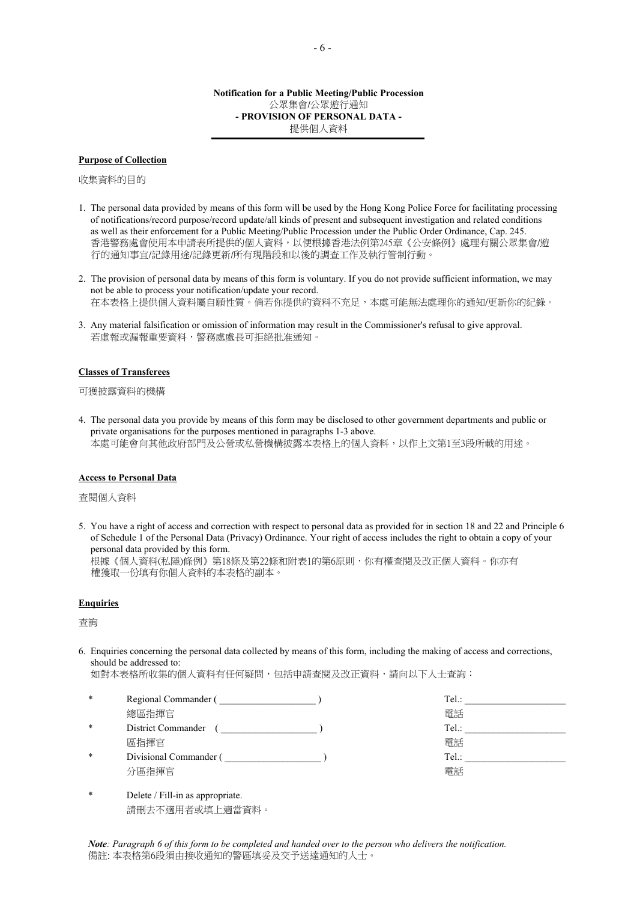#### **Purpose of Collection**

收集資料的目的

- 1. The personal data provided by means of this form will be used by the Hong Kong Police Force for facilitating processing of notifications/record purpose/record update/all kinds of present and subsequent investigation and related conditions as well as their enforcement for a Public Meeting/Public Procession under the Public Order Ordinance, Cap. 245. 香港警務處會使用本申請表所提供的個人資料,以便根據香港法例第245章《公安條例》處理有關公眾集會/遊 行的通知事宜/記錄用途/記錄更新/所有現階段和以後的調查工作及執行管制行動。
- 2. The provision of personal data by means of this form is voluntary. If you do not provide sufficient information, we may not be able to process your notification/update your record. 在本表格上提供個人資料屬自願性質。倘若你提供的資料不充足,本處可能無法處理你的通知/更新你的紀錄。
- 3. Any material falsification or omission of information may result in the Commissioner's refusal to give approval. 若虛報或漏報重要資料,警務處處長可拒絕批准通知。

#### **Classes of Transferees**

#### 可獲披露資料的機構

4. The personal data you provide by means of this form may be disclosed to other government departments and public or private organisations for the purposes mentioned in paragraphs 1-3 above. 本處可能會向其他政府部門及公營或私營機構披露本表格上的個人資料,以作上文第1至3段所載的用途。

#### **Access to Personal Data**

查閱個人資料

5. You have a right of access and correction with respect to personal data as provided for in section 18 and 22 and Principle 6 of Schedule 1 of the Personal Data (Privacy) Ordinance. Your right of access includes the right to obtain a copy of your personal data provided by this form.

根據《個人資料(私隱)條例》第18條及第22條和附表1的第6原則,你有權查閱及改正個人資料。你亦有 權獲取一份填有你個人資料的本表格的副本。

#### **Enquiries**

杳詢

6. Enquiries concerning the personal data collected by means of this form, including the making of access and corrections, should be addressed to:

如對本表格所收集的個人資料有任何疑問,包括申請查閱及改正資料,請向以下人士查詢:

- \* Regional Commander ( \_\_\_\_\_\_\_\_\_\_\_\_\_\_\_\_\_\_\_\_\_\_) Tel.: \_\_\_\_\_\_\_\_\_\_\_\_\_\_\_\_\_\_\_\_\_\_\_\_\_\_\_ **總區指揮官** 電話 しょうしょう しょうしょう かんしゃく かんしょう エストリック 電話 District Commander (  $\qquad \qquad$  ) Tel.: にはこれは、これは「電話」 こうしょう こうしょう にっぽん おおところ 電話 こうしょく こうしょう こうしょう こうしょう こうしょう にんしゅう にんしゅう こうしょう Divisional Commander (  $\qquad \qquad$  ) Tel.: 分區指揮官 しょうしょう しょうしょう しょうしょう かいしょう おおおし 雷話
- 

\* Delete / Fill-in as appropriate. 請刪去不適用者或填上適當資料。

*Note: Paragraph 6 of this form to be completed and handed over to the person who delivers the notification.*  備註: 本表格第6段須由接收通知的警區填妥及交予送達通知的人士。